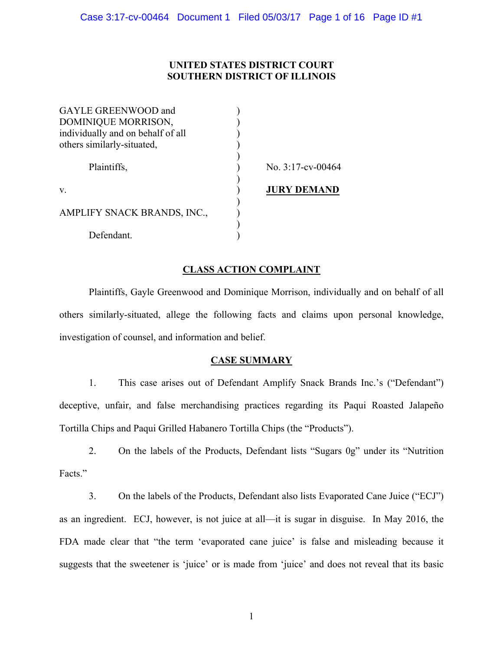# **UNITED STATES DISTRICT COURT SOUTHERN DISTRICT OF ILLINOIS**

| GAYLE GREENWOOD and               |                      |
|-----------------------------------|----------------------|
| DOMINIQUE MORRISON,               |                      |
| individually and on behalf of all |                      |
| others similarly-situated,        |                      |
| Plaintiffs,                       | No. $3:17$ -cv-00464 |
| V.                                | <b>JURY DEMAND</b>   |
| AMPLIFY SNACK BRANDS, INC.,       |                      |
| Defendant.                        |                      |

# **CLASS ACTION COMPLAINT**

Plaintiffs, Gayle Greenwood and Dominique Morrison, individually and on behalf of all others similarly-situated, allege the following facts and claims upon personal knowledge, investigation of counsel, and information and belief.

## **CASE SUMMARY**

1. This case arises out of Defendant Amplify Snack Brands Inc.'s ("Defendant") deceptive, unfair, and false merchandising practices regarding its Paqui Roasted Jalapeño Tortilla Chips and Paqui Grilled Habanero Tortilla Chips (the "Products").

2. On the labels of the Products, Defendant lists "Sugars 0g" under its "Nutrition Facts."

3. On the labels of the Products, Defendant also lists Evaporated Cane Juice ("ECJ") as an ingredient. ECJ, however, is not juice at all—it is sugar in disguise. In May 2016, the FDA made clear that "the term 'evaporated cane juice' is false and misleading because it suggests that the sweetener is 'juice' or is made from 'juice' and does not reveal that its basic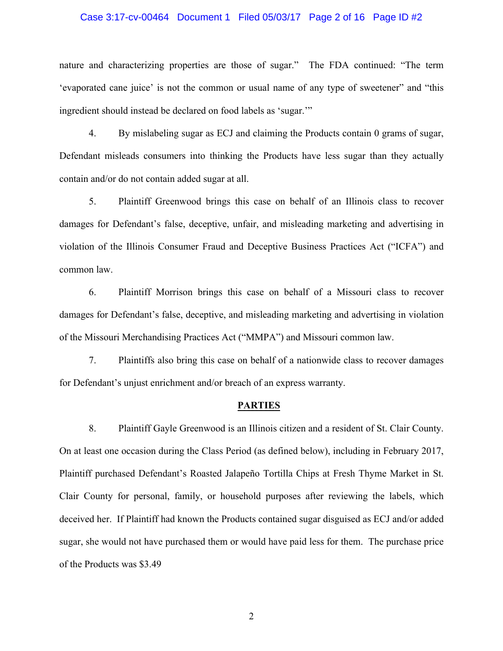### Case 3:17-cv-00464 Document 1 Filed 05/03/17 Page 2 of 16 Page ID #2

nature and characterizing properties are those of sugar." The FDA continued: "The term 'evaporated cane juice' is not the common or usual name of any type of sweetener" and "this ingredient should instead be declared on food labels as 'sugar.'"

4. By mislabeling sugar as ECJ and claiming the Products contain 0 grams of sugar, Defendant misleads consumers into thinking the Products have less sugar than they actually contain and/or do not contain added sugar at all.

5. Plaintiff Greenwood brings this case on behalf of an Illinois class to recover damages for Defendant's false, deceptive, unfair, and misleading marketing and advertising in violation of the Illinois Consumer Fraud and Deceptive Business Practices Act ("ICFA") and common law.

6. Plaintiff Morrison brings this case on behalf of a Missouri class to recover damages for Defendant's false, deceptive, and misleading marketing and advertising in violation of the Missouri Merchandising Practices Act ("MMPA") and Missouri common law.

7. Plaintiffs also bring this case on behalf of a nationwide class to recover damages for Defendant's unjust enrichment and/or breach of an express warranty.

#### **PARTIES**

8. Plaintiff Gayle Greenwood is an Illinois citizen and a resident of St. Clair County. On at least one occasion during the Class Period (as defined below), including in February 2017, Plaintiff purchased Defendant's Roasted Jalapeño Tortilla Chips at Fresh Thyme Market in St. Clair County for personal, family, or household purposes after reviewing the labels, which deceived her. If Plaintiff had known the Products contained sugar disguised as ECJ and/or added sugar, she would not have purchased them or would have paid less for them. The purchase price of the Products was \$3.49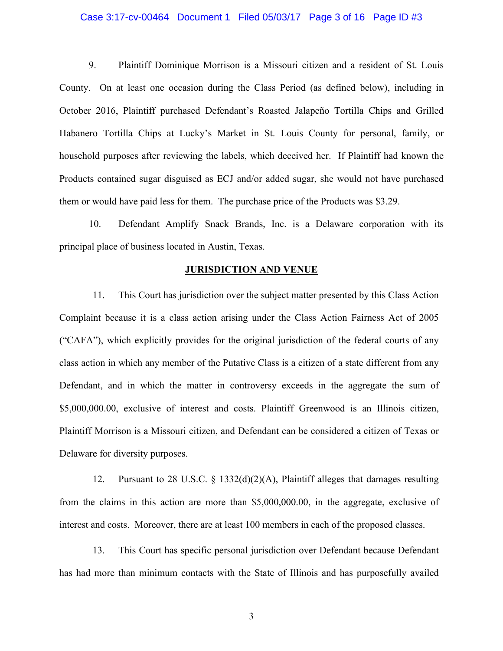### Case 3:17-cv-00464 Document 1 Filed 05/03/17 Page 3 of 16 Page ID #3

9. Plaintiff Dominique Morrison is a Missouri citizen and a resident of St. Louis County. On at least one occasion during the Class Period (as defined below), including in October 2016, Plaintiff purchased Defendant's Roasted Jalapeño Tortilla Chips and Grilled Habanero Tortilla Chips at Lucky's Market in St. Louis County for personal, family, or household purposes after reviewing the labels, which deceived her. If Plaintiff had known the Products contained sugar disguised as ECJ and/or added sugar, she would not have purchased them or would have paid less for them. The purchase price of the Products was \$3.29.

10. Defendant Amplify Snack Brands, Inc. is a Delaware corporation with its principal place of business located in Austin, Texas.

### **JURISDICTION AND VENUE**

11. This Court has jurisdiction over the subject matter presented by this Class Action Complaint because it is a class action arising under the Class Action Fairness Act of 2005 ("CAFA"), which explicitly provides for the original jurisdiction of the federal courts of any class action in which any member of the Putative Class is a citizen of a state different from any Defendant, and in which the matter in controversy exceeds in the aggregate the sum of \$5,000,000.00, exclusive of interest and costs. Plaintiff Greenwood is an Illinois citizen, Plaintiff Morrison is a Missouri citizen, and Defendant can be considered a citizen of Texas or Delaware for diversity purposes.

12. Pursuant to 28 U.S.C.  $\S$  1332(d)(2)(A), Plaintiff alleges that damages resulting from the claims in this action are more than \$5,000,000.00, in the aggregate, exclusive of interest and costs. Moreover, there are at least 100 members in each of the proposed classes.

13. This Court has specific personal jurisdiction over Defendant because Defendant has had more than minimum contacts with the State of Illinois and has purposefully availed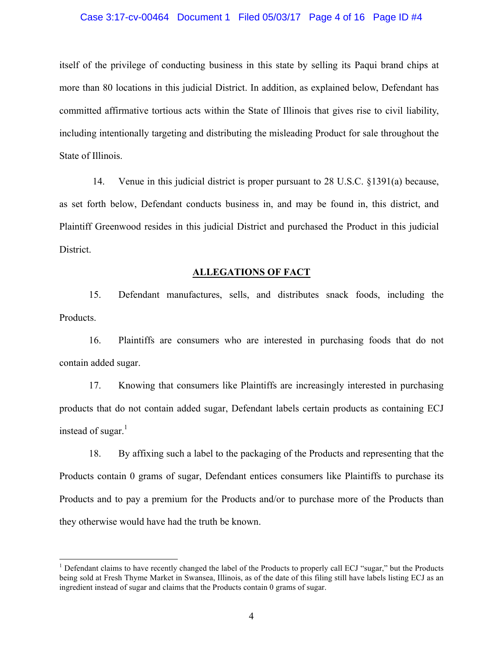### Case 3:17-cv-00464 Document 1 Filed 05/03/17 Page 4 of 16 Page ID #4

itself of the privilege of conducting business in this state by selling its Paqui brand chips at more than 80 locations in this judicial District. In addition, as explained below, Defendant has committed affirmative tortious acts within the State of Illinois that gives rise to civil liability, including intentionally targeting and distributing the misleading Product for sale throughout the State of Illinois.

14. Venue in this judicial district is proper pursuant to 28 U.S.C. §1391(a) because, as set forth below, Defendant conducts business in, and may be found in, this district, and Plaintiff Greenwood resides in this judicial District and purchased the Product in this judicial District.

### **ALLEGATIONS OF FACT**

15. Defendant manufactures, sells, and distributes snack foods, including the Products.

16. Plaintiffs are consumers who are interested in purchasing foods that do not contain added sugar.

17. Knowing that consumers like Plaintiffs are increasingly interested in purchasing products that do not contain added sugar, Defendant labels certain products as containing ECJ instead of sugar. $<sup>1</sup>$ </sup>

18. By affixing such a label to the packaging of the Products and representing that the Products contain 0 grams of sugar, Defendant entices consumers like Plaintiffs to purchase its Products and to pay a premium for the Products and/or to purchase more of the Products than they otherwise would have had the truth be known.

 $<sup>1</sup>$  Defendant claims to have recently changed the label of the Products to properly call ECJ "sugar," but the Products</sup> being sold at Fresh Thyme Market in Swansea, Illinois, as of the date of this filing still have labels listing ECJ as an ingredient instead of sugar and claims that the Products contain 0 grams of sugar.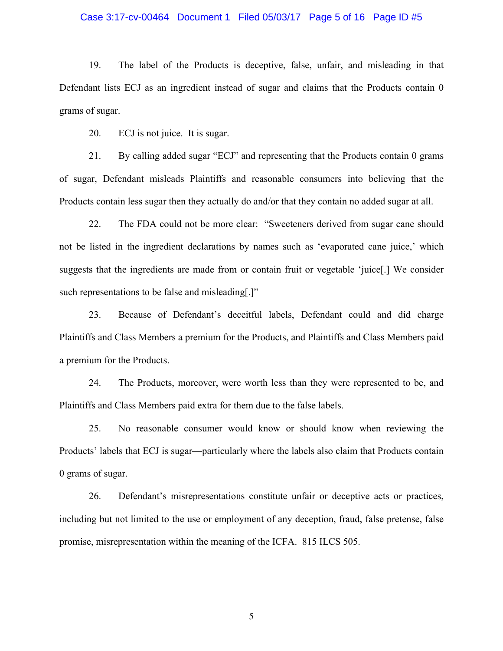### Case 3:17-cv-00464 Document 1 Filed 05/03/17 Page 5 of 16 Page ID #5

19. The label of the Products is deceptive, false, unfair, and misleading in that Defendant lists ECJ as an ingredient instead of sugar and claims that the Products contain 0 grams of sugar.

20. ECJ is not juice. It is sugar.

21. By calling added sugar "ECJ" and representing that the Products contain 0 grams of sugar, Defendant misleads Plaintiffs and reasonable consumers into believing that the Products contain less sugar then they actually do and/or that they contain no added sugar at all.

22. The FDA could not be more clear: "Sweeteners derived from sugar cane should not be listed in the ingredient declarations by names such as 'evaporated cane juice,' which suggests that the ingredients are made from or contain fruit or vegetable 'juice[.] We consider such representations to be false and misleading.]"

23. Because of Defendant's deceitful labels, Defendant could and did charge Plaintiffs and Class Members a premium for the Products, and Plaintiffs and Class Members paid a premium for the Products.

24. The Products, moreover, were worth less than they were represented to be, and Plaintiffs and Class Members paid extra for them due to the false labels.

25. No reasonable consumer would know or should know when reviewing the Products' labels that ECJ is sugar—particularly where the labels also claim that Products contain 0 grams of sugar.

26. Defendant's misrepresentations constitute unfair or deceptive acts or practices, including but not limited to the use or employment of any deception, fraud, false pretense, false promise, misrepresentation within the meaning of the ICFA. 815 ILCS 505.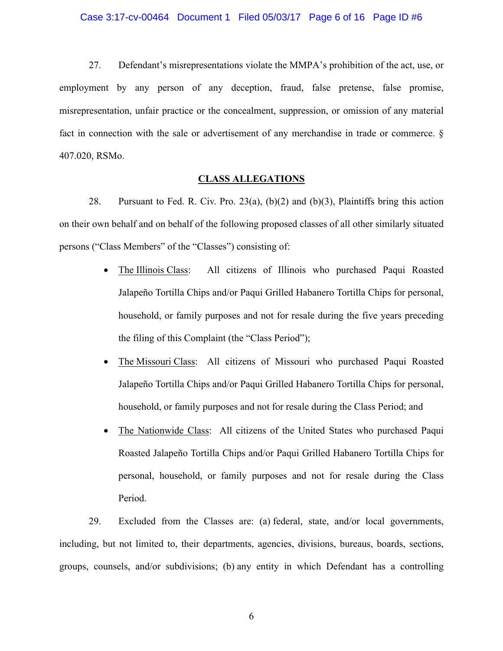#### Case 3:17-cv-00464 Document 1 Filed 05/03/17 Page 6 of 16 Page ID #6

27. Defendant's misrepresentations violate the MMPA's prohibition of the act, use, or employment by any person of any deception, fraud, false pretense, false promise, misrepresentation, unfair practice or the concealment, suppression, or omission of any material fact in connection with the sale or advertisement of any merchandise in trade or commerce. § 407.020, RSMo.

### **CLASS ALLEGATIONS**

28. Pursuant to Fed. R. Civ. Pro. 23(a), (b)(2) and (b)(3), Plaintiffs bring this action on their own behalf and on behalf of the following proposed classes of all other similarly situated persons ("Class Members" of the "Classes") consisting of:

- The Illinois Class: All citizens of Illinois who purchased Paqui Roasted Jalapeño Tortilla Chips and/or Paqui Grilled Habanero Tortilla Chips for personal, household, or family purposes and not for resale during the five years preceding the filing of this Complaint (the "Class Period");
- The Missouri Class: All citizens of Missouri who purchased Paqui Roasted Jalapeño Tortilla Chips and/or Paqui Grilled Habanero Tortilla Chips for personal, household, or family purposes and not for resale during the Class Period; and
- The Nationwide Class: All citizens of the United States who purchased Paqui Roasted Jalapeño Tortilla Chips and/or Paqui Grilled Habanero Tortilla Chips for personal, household, or family purposes and not for resale during the Class Period.

29. Excluded from the Classes are: (a) federal, state, and/or local governments, including, but not limited to, their departments, agencies, divisions, bureaus, boards, sections, groups, counsels, and/or subdivisions; (b) any entity in which Defendant has a controlling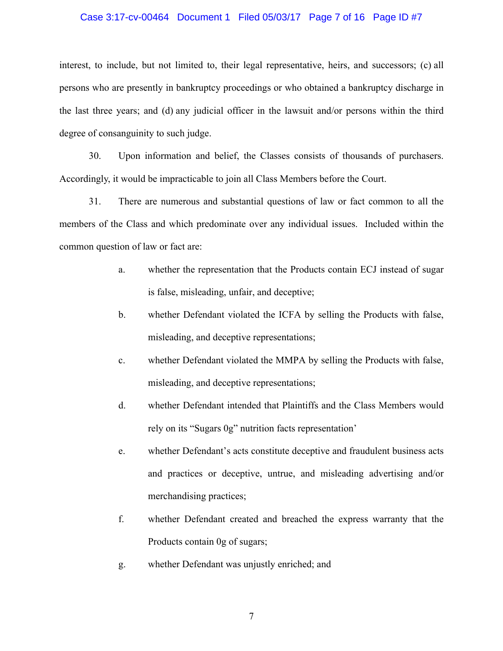### Case 3:17-cv-00464 Document 1 Filed 05/03/17 Page 7 of 16 Page ID #7

interest, to include, but not limited to, their legal representative, heirs, and successors; (c) all persons who are presently in bankruptcy proceedings or who obtained a bankruptcy discharge in the last three years; and (d) any judicial officer in the lawsuit and/or persons within the third degree of consanguinity to such judge.

30. Upon information and belief, the Classes consists of thousands of purchasers. Accordingly, it would be impracticable to join all Class Members before the Court.

31. There are numerous and substantial questions of law or fact common to all the members of the Class and which predominate over any individual issues. Included within the common question of law or fact are:

- a. whether the representation that the Products contain ECJ instead of sugar is false, misleading, unfair, and deceptive;
- b. whether Defendant violated the ICFA by selling the Products with false, misleading, and deceptive representations;
- c. whether Defendant violated the MMPA by selling the Products with false, misleading, and deceptive representations;
- d. whether Defendant intended that Plaintiffs and the Class Members would rely on its "Sugars 0g" nutrition facts representation'
- e. whether Defendant's acts constitute deceptive and fraudulent business acts and practices or deceptive, untrue, and misleading advertising and/or merchandising practices;
- f. whether Defendant created and breached the express warranty that the Products contain 0g of sugars;
- g. whether Defendant was unjustly enriched; and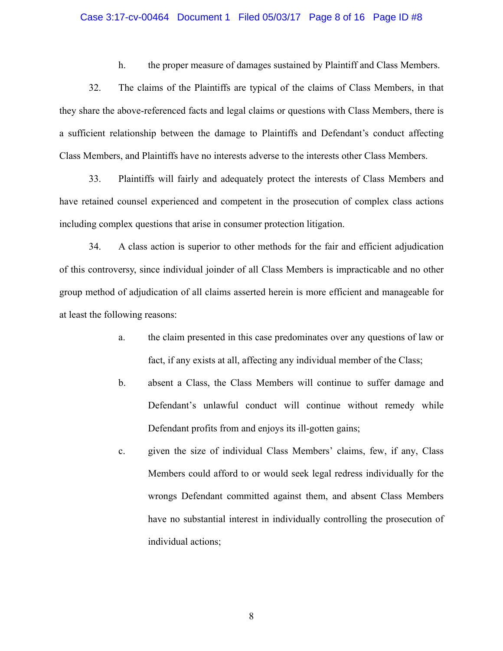### Case 3:17-cv-00464 Document 1 Filed 05/03/17 Page 8 of 16 Page ID #8

h. the proper measure of damages sustained by Plaintiff and Class Members.

32. The claims of the Plaintiffs are typical of the claims of Class Members, in that they share the above-referenced facts and legal claims or questions with Class Members, there is a sufficient relationship between the damage to Plaintiffs and Defendant's conduct affecting Class Members, and Plaintiffs have no interests adverse to the interests other Class Members.

33. Plaintiffs will fairly and adequately protect the interests of Class Members and have retained counsel experienced and competent in the prosecution of complex class actions including complex questions that arise in consumer protection litigation.

34. A class action is superior to other methods for the fair and efficient adjudication of this controversy, since individual joinder of all Class Members is impracticable and no other group method of adjudication of all claims asserted herein is more efficient and manageable for at least the following reasons:

- a. the claim presented in this case predominates over any questions of law or fact, if any exists at all, affecting any individual member of the Class;
- b. absent a Class, the Class Members will continue to suffer damage and Defendant's unlawful conduct will continue without remedy while Defendant profits from and enjoys its ill-gotten gains;
- c. given the size of individual Class Members' claims, few, if any, Class Members could afford to or would seek legal redress individually for the wrongs Defendant committed against them, and absent Class Members have no substantial interest in individually controlling the prosecution of individual actions;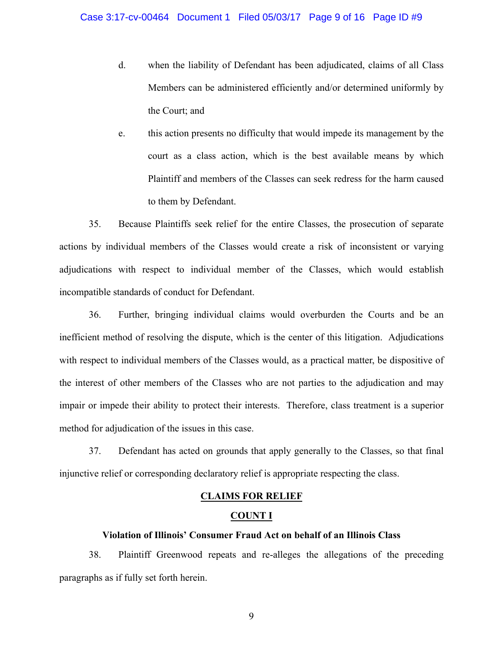- d. when the liability of Defendant has been adjudicated, claims of all Class Members can be administered efficiently and/or determined uniformly by the Court; and
- e. this action presents no difficulty that would impede its management by the court as a class action, which is the best available means by which Plaintiff and members of the Classes can seek redress for the harm caused to them by Defendant.

35. Because Plaintiffs seek relief for the entire Classes, the prosecution of separate actions by individual members of the Classes would create a risk of inconsistent or varying adjudications with respect to individual member of the Classes, which would establish incompatible standards of conduct for Defendant.

36. Further, bringing individual claims would overburden the Courts and be an inefficient method of resolving the dispute, which is the center of this litigation. Adjudications with respect to individual members of the Classes would, as a practical matter, be dispositive of the interest of other members of the Classes who are not parties to the adjudication and may impair or impede their ability to protect their interests. Therefore, class treatment is a superior method for adjudication of the issues in this case.

37. Defendant has acted on grounds that apply generally to the Classes, so that final injunctive relief or corresponding declaratory relief is appropriate respecting the class.

## **CLAIMS FOR RELIEF**

## **COUNT I**

## **Violation of Illinois' Consumer Fraud Act on behalf of an Illinois Class**

38. Plaintiff Greenwood repeats and re-alleges the allegations of the preceding paragraphs as if fully set forth herein.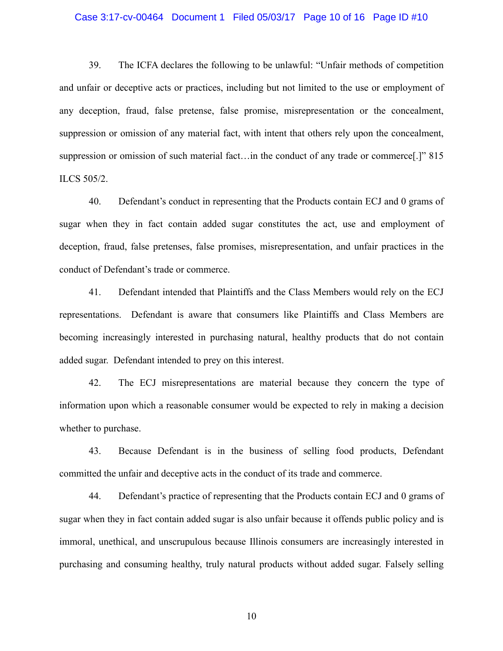#### Case 3:17-cv-00464 Document 1 Filed 05/03/17 Page 10 of 16 Page ID #10

39. The ICFA declares the following to be unlawful: "Unfair methods of competition and unfair or deceptive acts or practices, including but not limited to the use or employment of any deception, fraud, false pretense, false promise, misrepresentation or the concealment, suppression or omission of any material fact, with intent that others rely upon the concealment, suppression or omission of such material fact…in the conduct of any trade or commerce[.]" 815 ILCS 505/2.

40. Defendant's conduct in representing that the Products contain ECJ and 0 grams of sugar when they in fact contain added sugar constitutes the act, use and employment of deception, fraud, false pretenses, false promises, misrepresentation, and unfair practices in the conduct of Defendant's trade or commerce.

41. Defendant intended that Plaintiffs and the Class Members would rely on the ECJ representations. Defendant is aware that consumers like Plaintiffs and Class Members are becoming increasingly interested in purchasing natural, healthy products that do not contain added sugar. Defendant intended to prey on this interest.

42. The ECJ misrepresentations are material because they concern the type of information upon which a reasonable consumer would be expected to rely in making a decision whether to purchase.

43. Because Defendant is in the business of selling food products, Defendant committed the unfair and deceptive acts in the conduct of its trade and commerce.

44. Defendant's practice of representing that the Products contain ECJ and 0 grams of sugar when they in fact contain added sugar is also unfair because it offends public policy and is immoral, unethical, and unscrupulous because Illinois consumers are increasingly interested in purchasing and consuming healthy, truly natural products without added sugar. Falsely selling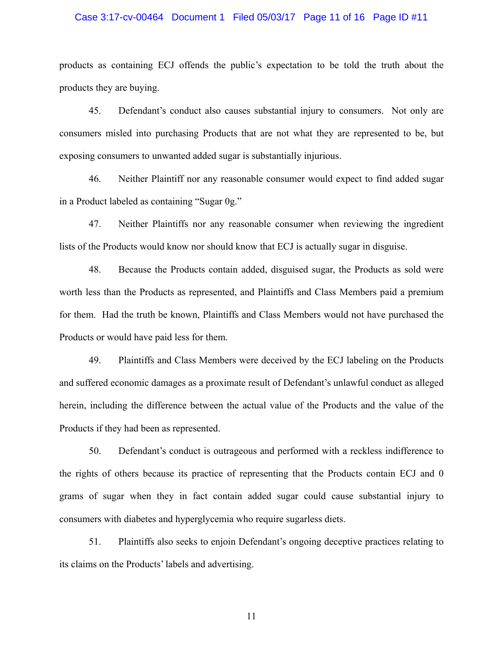### Case 3:17-cv-00464 Document 1 Filed 05/03/17 Page 11 of 16 Page ID #11

products as containing ECJ offends the public's expectation to be told the truth about the products they are buying.

45. Defendant's conduct also causes substantial injury to consumers. Not only are consumers misled into purchasing Products that are not what they are represented to be, but exposing consumers to unwanted added sugar is substantially injurious.

46. Neither Plaintiff nor any reasonable consumer would expect to find added sugar in a Product labeled as containing "Sugar 0g."

47. Neither Plaintiffs nor any reasonable consumer when reviewing the ingredient lists of the Products would know nor should know that ECJ is actually sugar in disguise.

48. Because the Products contain added, disguised sugar, the Products as sold were worth less than the Products as represented, and Plaintiffs and Class Members paid a premium for them. Had the truth be known, Plaintiffs and Class Members would not have purchased the Products or would have paid less for them.

49. Plaintiffs and Class Members were deceived by the ECJ labeling on the Products and suffered economic damages as a proximate result of Defendant's unlawful conduct as alleged herein, including the difference between the actual value of the Products and the value of the Products if they had been as represented.

50. Defendant's conduct is outrageous and performed with a reckless indifference to the rights of others because its practice of representing that the Products contain ECJ and 0 grams of sugar when they in fact contain added sugar could cause substantial injury to consumers with diabetes and hyperglycemia who require sugarless diets.

51. Plaintiffs also seeks to enjoin Defendant's ongoing deceptive practices relating to its claims on the Products' labels and advertising.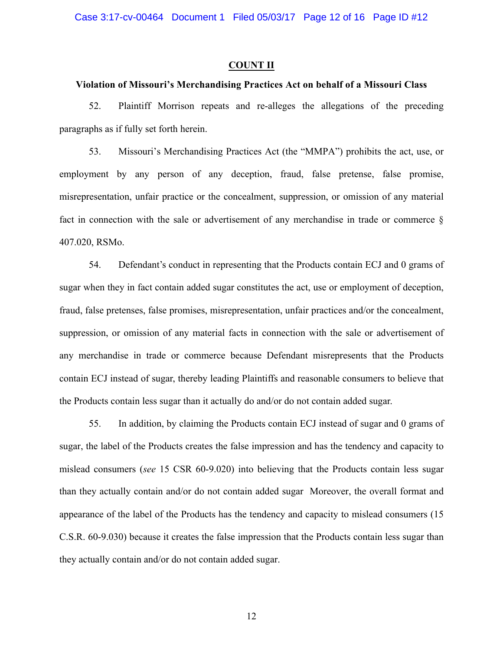Case 3:17-cv-00464 Document 1 Filed 05/03/17 Page 12 of 16 Page ID #12

### **COUNT II**

### **Violation of Missouri's Merchandising Practices Act on behalf of a Missouri Class**

52. Plaintiff Morrison repeats and re-alleges the allegations of the preceding paragraphs as if fully set forth herein.

53. Missouri's Merchandising Practices Act (the "MMPA") prohibits the act, use, or employment by any person of any deception, fraud, false pretense, false promise, misrepresentation, unfair practice or the concealment, suppression, or omission of any material fact in connection with the sale or advertisement of any merchandise in trade or commerce § 407.020, RSMo.

54. Defendant's conduct in representing that the Products contain ECJ and 0 grams of sugar when they in fact contain added sugar constitutes the act, use or employment of deception, fraud, false pretenses, false promises, misrepresentation, unfair practices and/or the concealment, suppression, or omission of any material facts in connection with the sale or advertisement of any merchandise in trade or commerce because Defendant misrepresents that the Products contain ECJ instead of sugar, thereby leading Plaintiffs and reasonable consumers to believe that the Products contain less sugar than it actually do and/or do not contain added sugar.

55. In addition, by claiming the Products contain ECJ instead of sugar and 0 grams of sugar, the label of the Products creates the false impression and has the tendency and capacity to mislead consumers (*see* 15 CSR 60-9.020) into believing that the Products contain less sugar than they actually contain and/or do not contain added sugar Moreover, the overall format and appearance of the label of the Products has the tendency and capacity to mislead consumers (15 C.S.R. 60-9.030) because it creates the false impression that the Products contain less sugar than they actually contain and/or do not contain added sugar.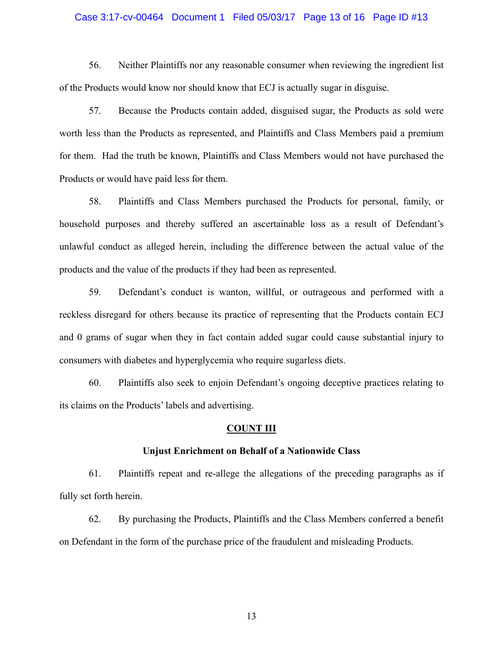### Case 3:17-cv-00464 Document 1 Filed 05/03/17 Page 13 of 16 Page ID #13

56. Neither Plaintiffs nor any reasonable consumer when reviewing the ingredient list of the Products would know nor should know that ECJ is actually sugar in disguise.

57. Because the Products contain added, disguised sugar, the Products as sold were worth less than the Products as represented, and Plaintiffs and Class Members paid a premium for them. Had the truth be known, Plaintiffs and Class Members would not have purchased the Products or would have paid less for them.

58. Plaintiffs and Class Members purchased the Products for personal, family, or household purposes and thereby suffered an ascertainable loss as a result of Defendant's unlawful conduct as alleged herein, including the difference between the actual value of the products and the value of the products if they had been as represented.

59. Defendant's conduct is wanton, willful, or outrageous and performed with a reckless disregard for others because its practice of representing that the Products contain ECJ and 0 grams of sugar when they in fact contain added sugar could cause substantial injury to consumers with diabetes and hyperglycemia who require sugarless diets.

60. Plaintiffs also seek to enjoin Defendant's ongoing deceptive practices relating to its claims on the Products' labels and advertising.

#### **COUNT III**

### **Unjust Enrichment on Behalf of a Nationwide Class**

61. Plaintiffs repeat and re-allege the allegations of the preceding paragraphs as if fully set forth herein.

62. By purchasing the Products, Plaintiffs and the Class Members conferred a benefit on Defendant in the form of the purchase price of the fraudulent and misleading Products.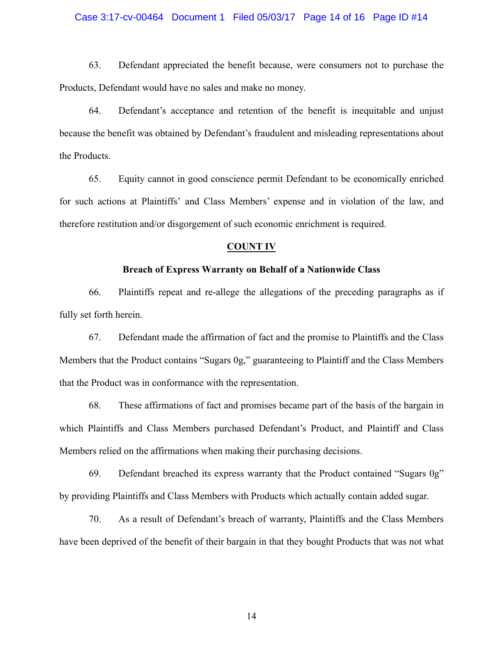### Case 3:17-cv-00464 Document 1 Filed 05/03/17 Page 14 of 16 Page ID #14

63. Defendant appreciated the benefit because, were consumers not to purchase the Products, Defendant would have no sales and make no money.

64. Defendant's acceptance and retention of the benefit is inequitable and unjust because the benefit was obtained by Defendant's fraudulent and misleading representations about the Products.

65. Equity cannot in good conscience permit Defendant to be economically enriched for such actions at Plaintiffs' and Class Members' expense and in violation of the law, and therefore restitution and/or disgorgement of such economic enrichment is required.

### **COUNT IV**

### **Breach of Express Warranty on Behalf of a Nationwide Class**

66. Plaintiffs repeat and re-allege the allegations of the preceding paragraphs as if fully set forth herein.

67. Defendant made the affirmation of fact and the promise to Plaintiffs and the Class Members that the Product contains "Sugars 0g," guaranteeing to Plaintiff and the Class Members that the Product was in conformance with the representation.

68. These affirmations of fact and promises became part of the basis of the bargain in which Plaintiffs and Class Members purchased Defendant's Product, and Plaintiff and Class Members relied on the affirmations when making their purchasing decisions.

69. Defendant breached its express warranty that the Product contained "Sugars 0g" by providing Plaintiffs and Class Members with Products which actually contain added sugar.

70. As a result of Defendant's breach of warranty, Plaintiffs and the Class Members have been deprived of the benefit of their bargain in that they bought Products that was not what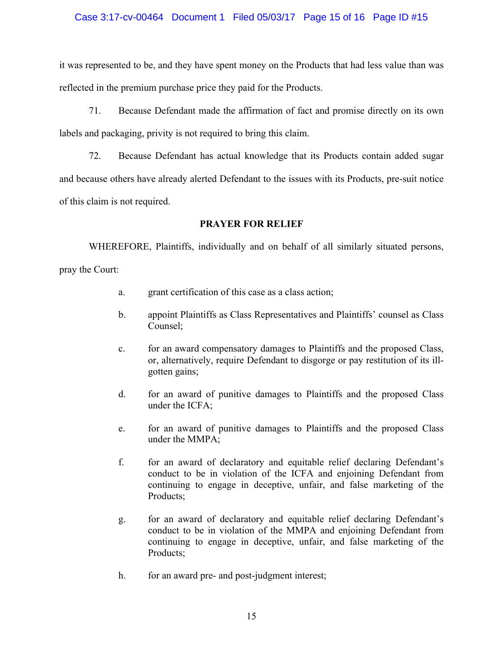## Case 3:17-cv-00464 Document 1 Filed 05/03/17 Page 15 of 16 Page ID #15

it was represented to be, and they have spent money on the Products that had less value than was reflected in the premium purchase price they paid for the Products.

71. Because Defendant made the affirmation of fact and promise directly on its own labels and packaging, privity is not required to bring this claim.

72. Because Defendant has actual knowledge that its Products contain added sugar and because others have already alerted Defendant to the issues with its Products, pre-suit notice of this claim is not required.

# **PRAYER FOR RELIEF**

WHEREFORE, Plaintiffs, individually and on behalf of all similarly situated persons, pray the Court:

- a. grant certification of this case as a class action;
- b. appoint Plaintiffs as Class Representatives and Plaintiffs' counsel as Class Counsel;
- c. for an award compensatory damages to Plaintiffs and the proposed Class, or, alternatively, require Defendant to disgorge or pay restitution of its illgotten gains;
- d. for an award of punitive damages to Plaintiffs and the proposed Class under the ICFA;
- e. for an award of punitive damages to Plaintiffs and the proposed Class under the MMPA;
- f. for an award of declaratory and equitable relief declaring Defendant's conduct to be in violation of the ICFA and enjoining Defendant from continuing to engage in deceptive, unfair, and false marketing of the Products;
- g. for an award of declaratory and equitable relief declaring Defendant's conduct to be in violation of the MMPA and enjoining Defendant from continuing to engage in deceptive, unfair, and false marketing of the Products;
- h. for an award pre- and post-judgment interest;